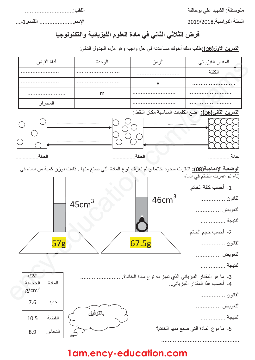Q**2** BCDEFGHIJKLMNODPQ **\*-**

Q**0\***  +?&AR+?&@Q**\* -\*** 

-----------------------------

---S&Q**0\*** --------------------

## فرض الثلاثى الثانى فى مادة العلوم الفيزيائية والتكنولوجيا

ا**لتمرين الاول(6ن):**طلب منك أخوك مساعدته في حل واجبه و هو ملء الجدول التالي:



**1am.ency-education.com**